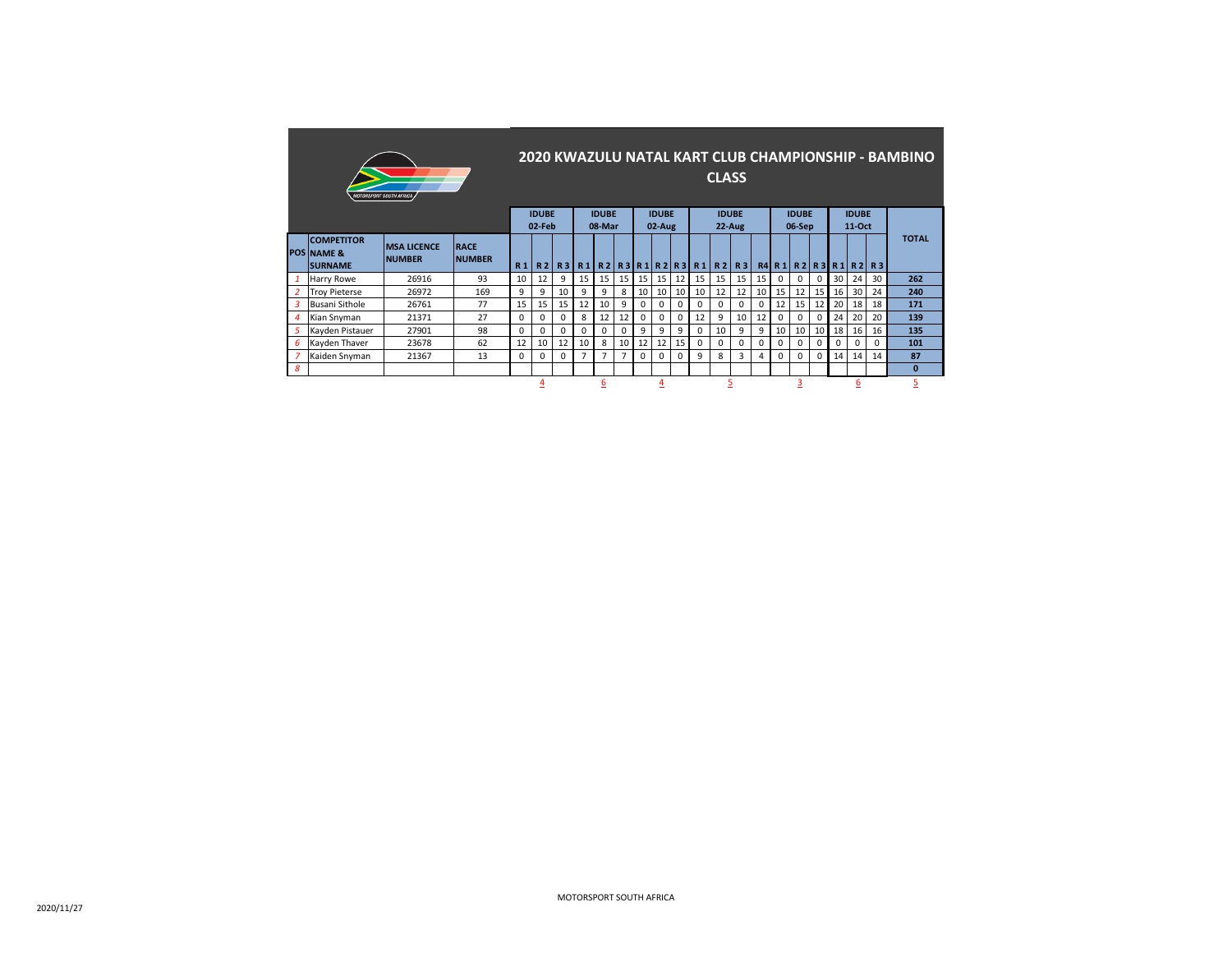|   | <i><b>MOTORSPORT SOUTH AFRICA</b></i>                        |                                                                                                        |                              |                |              |           |                |                  |                |          |             |             |                               | <b>CLASS</b> |                |                |          |                          |          |    |                        |          | 2020 KWAZULU NATAL KART CLUB CHAMPIONSHIP - BAMBINO |
|---|--------------------------------------------------------------|--------------------------------------------------------------------------------------------------------|------------------------------|----------------|--------------|-----------|----------------|------------------|----------------|----------|-------------|-------------|-------------------------------|--------------|----------------|----------------|----------|--------------------------|----------|----|------------------------|----------|-----------------------------------------------------|
|   |                                                              | <b>IDUBE</b><br><b>IDUBE</b><br><b>IDUBE</b><br><b>IDUBE</b><br>02-Feb<br>22-Aug<br>08-Mar<br>$02-Aug$ |                              |                |              |           |                |                  |                |          |             |             |                               |              |                |                |          | <b>IDUBE</b><br>06-Sep   |          |    | <b>IDUBE</b><br>11-Oct |          |                                                     |
|   | <b>COMPETITOR</b><br><b>POS NAME &amp;</b><br><b>SURNAME</b> | <b>MSA LICENCE</b><br><b>NUMBER</b>                                                                    | <b>RACE</b><br><b>NUMBER</b> | R <sub>1</sub> | R2           | <b>R3</b> |                |                  |                |          |             |             | $R1$   R2  R3  R1  R2  R3  R1 | <b>R21</b>   | R <sub>3</sub> |                |          | $R4$ R 1 R 2 R 3 R 1 R 2 |          |    |                        | R3       | <b>TOTAL</b>                                        |
| 1 | Harry Rowe                                                   | 26916                                                                                                  | 93                           | 10             | 12           | 9         | 15             | 15 <sup>1</sup>  | 15             | 15       | 15          | 12          | 15                            | 15           | 15             | 15             | $\Omega$ | 0                        | $\Omega$ | 30 | 24                     | 30       | 262                                                 |
| 2 | <b>Trov Pieterse</b>                                         | 26972                                                                                                  | 169                          | 9              | 9            | 10        | 9              | 9                | 8              | 10       | 10          | 10          | 10                            | 12           | 12             | 10             | 15       | 12                       | 15       | 16 | 30                     | 24       | 240                                                 |
| 3 | Busani Sithole                                               | 26761                                                                                                  | 77                           | 15             | 15           | 15        | 12             | 10 <sup>10</sup> | 9              | 0        | $\Omega$    | $\Omega$    | $\Omega$                      | 0            | $\Omega$       | $\mathbf 0$    | 12       | 15                       | 12       | 20 | 18                     | 18       | 171                                                 |
| 4 | Kian Snyman                                                  | 21371                                                                                                  | 27                           | $\Omega$       | 0            | 0         | 8              | 12               | 12             | 0        | $\mathbf 0$ | $\mathbf 0$ | 12                            | 9            | 10             | 12             | 0        | 0                        | $\Omega$ | 24 | 20                     | 20       | 139                                                 |
| 5 | Kayden Pistauer                                              | 27901                                                                                                  | 98                           | $\Omega$       | <sup>0</sup> | $\Omega$  | $\Omega$       | 0                | 0              | 9        | 9           | 9           | $\Omega$                      | 10           | 9              | 9              | 10       | 10                       | 10       | 18 | 16                     | 16       | 135                                                 |
| 6 | Kayden Thaver                                                | 23678                                                                                                  | 62                           | 12             | 10           | 12        | 10             | 8                | 10             | 12       | 12          | 15          | $\Omega$                      | $\Omega$     | $\Omega$       | $\mathbf 0$    | $\Omega$ | $\Omega$                 | 0        | 0  | $\Omega$               | $\Omega$ | 101                                                 |
|   | Kaiden Snyman                                                | 21367                                                                                                  | 13                           | 0              |              | 0         | $\overline{ }$ | $\overline{ }$   | $\overline{7}$ | $\Omega$ | $\mathbf 0$ | $\Omega$    | 9                             | 8            | 3              | $\overline{a}$ | 0        | 0                        | 0        | 14 | 14                     | 14       | 87                                                  |
| 8 |                                                              |                                                                                                        |                              |                |              |           |                |                  |                |          |             |             |                               |              |                |                |          |                          |          |    |                        |          | $\Omega$                                            |
|   |                                                              |                                                                                                        |                              |                | 4            |           |                | 6                |                |          | 4           |             |                               | 5            |                |                |          | з                        |          |    | 6                      |          | 5                                                   |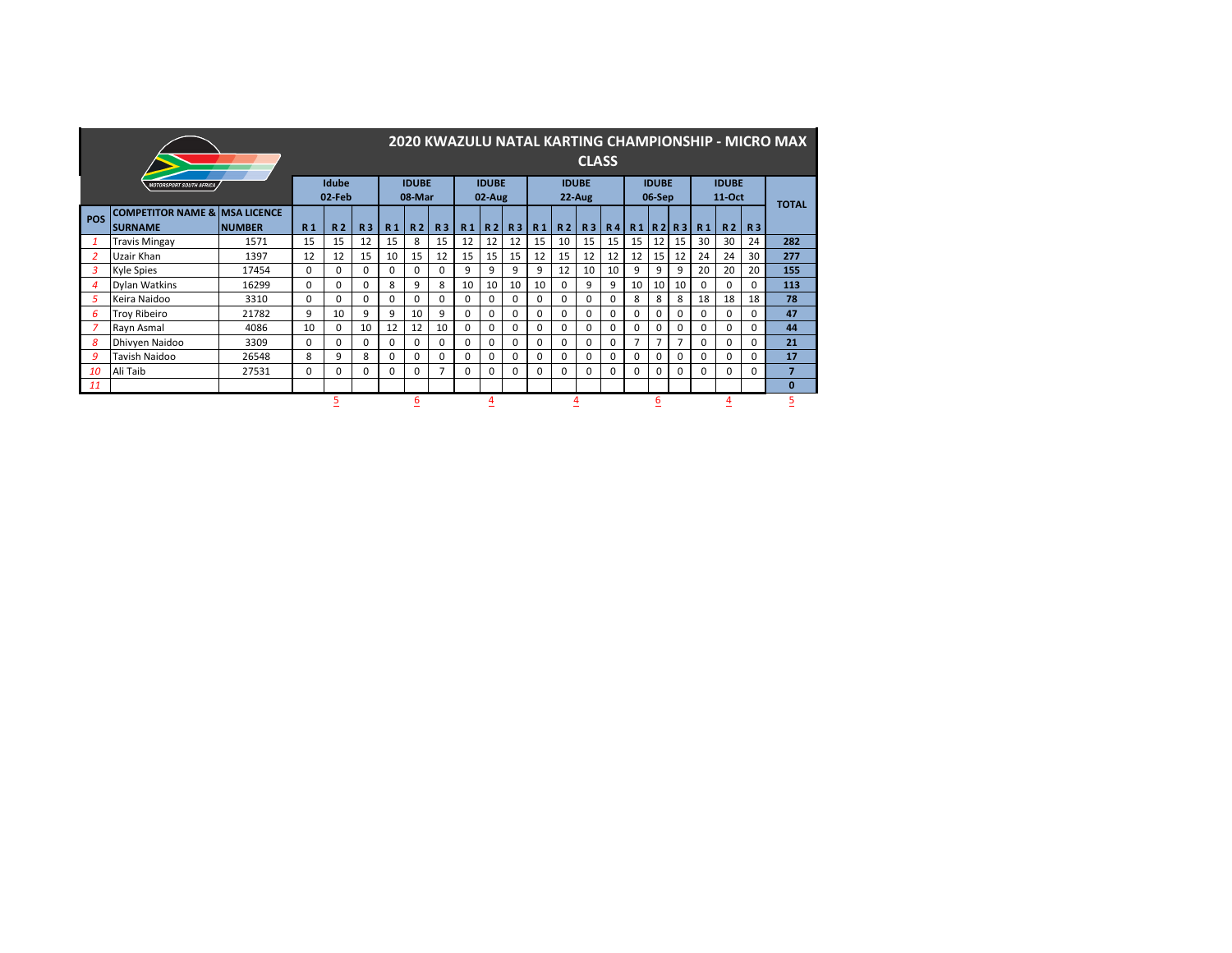|            |                                                            |               |                |                 |                |                |                        |           |                |                        |                |                |                | <b>CLASS</b>             |                |    |                        |          |                |                          |              | 2020 KWAZULU NATAL KARTING CHAMPIONSHIP - MICRO MAX |
|------------|------------------------------------------------------------|---------------|----------------|-----------------|----------------|----------------|------------------------|-----------|----------------|------------------------|----------------|----------------|----------------|--------------------------|----------------|----|------------------------|----------|----------------|--------------------------|--------------|-----------------------------------------------------|
|            | <b>MOTORSPORT SOUTH AFRICA</b>                             |               |                | Idube<br>02-Feb |                |                | <b>IDUBE</b><br>08-Mar |           |                | <b>IDUBE</b><br>02-Aug |                |                |                | <b>IDUBE</b><br>$22-Aug$ |                |    | <b>IDUBE</b><br>06-Sep |          |                | <b>IDUBE</b><br>$11-Oct$ |              | <b>TOTAL</b>                                        |
| <b>POS</b> | <b>COMPETITOR NAME &amp; MSA LICENCE</b><br><b>SURNAME</b> | <b>NUMBER</b> | R <sub>1</sub> | R <sub>2</sub>  | R <sub>3</sub> | R <sub>1</sub> | R <sub>2</sub>         | <b>R3</b> | R <sub>1</sub> | R <sub>2</sub>         | R <sub>3</sub> | R <sub>1</sub> | R <sub>2</sub> | R3                       | R <sub>4</sub> |    |                        | R1 R2 R3 | R <sub>1</sub> | R <sub>2</sub>           | R3           |                                                     |
|            | <b>Travis Mingay</b>                                       | 1571          | 15             | 15              | 12             | 15             | 8                      | 15        | 12             | 12                     | 12             | 15             | 10             | 15                       | 15             | 15 | 12                     | 15       | 30             | 30                       | 24           | 282                                                 |
|            | Uzair Khan                                                 | 1397          | 12             | 12              | 15             | 10             | 15                     | 12        | 15             | 15                     | 15             | 12             | 15             | 12                       | 12             | 12 | 15                     | 12       | 24             | 24                       | 30           | 277                                                 |
| 3          | <b>Kyle Spies</b>                                          | 17454         | $\Omega$       | 0               | $\Omega$       | 0              | $\Omega$               | 0         | 9              | 9                      | 9              | 9              | 12             | 10                       | 10             | 9  | 9                      | 9        | 20             | 20                       | 20           | 155                                                 |
|            | <b>Dylan Watkins</b>                                       | 16299         | $\Omega$       | 0               | $\Omega$       | 8              | 9                      | 8         | 10             | 10                     | 10             | 10             | $\Omega$       | 9                        | 9              | 10 | 10                     | 10       | 0              | 0                        | 0            | 113                                                 |
| 5          | Keira Naidoo                                               | 3310          | $\Omega$       | 0               | $\Omega$       | 0              | $\Omega$               | 0         | $\Omega$       | 0                      | 0              | 0              | $\Omega$       | 0                        | $\Omega$       | 8  | 8                      | 8        | 18             | 18                       | 18           | 78                                                  |
| 6          | <b>Troy Ribeiro</b>                                        | 21782         | 9              | 10              | 9              | 9              | 10                     | 9         | $\Omega$       | 0                      | 0              | <sup>0</sup>   | $\Omega$       | 0                        | $\Omega$       | 0  | 0                      | $\Omega$ | 0              | 0                        | 0            | 47                                                  |
|            | Rayn Asmal                                                 | 4086          | 10             | 0               | 10             | 12             | 12                     | 10        | $\Omega$       | 0                      | 0              | 0              | $\Omega$       | 0                        | 0              | 0  | 0                      | $\Omega$ | 0              | 0                        | 0            | 44                                                  |
| 8          | Dhivyen Naidoo                                             | 3309          | $\Omega$       | 0               | $\Omega$       | 0              | $\Omega$               | 0         | $\Omega$       | 0                      | 0              | 0              | $\Omega$       | 0                        | 0              |    | 7                      | 7        | 0              | 0                        | <sup>0</sup> | 21                                                  |
| 9          | Tavish Naidoo                                              | 26548         | 8              | 9               | 8              | 0              | $\Omega$               | O.        | $\Omega$       | 0                      | 0              | 0              | $\Omega$       | 0                        | $\Omega$       | 0  | 0                      | 0        | 0              | 0                        | 0            | 17                                                  |
| 10         | Ali Taib                                                   | 27531         | $\Omega$       | 0               | $\Omega$       | O.             | 0                      |           | $\Omega$       | 0                      | 0              | 0              | $\Omega$       | 0                        | 0              | 0  | 0                      | 0        | 0              | 0                        | $\Omega$     | $\overline{7}$                                      |
| 11         |                                                            |               |                |                 |                |                |                        |           |                |                        |                |                |                |                          |                |    |                        |          |                |                          |              | $\bf{0}$                                            |
|            |                                                            |               |                |                 |                |                | <u>6</u>               |           |                | 4                      |                |                | <u>4</u>       |                          |                |    | <u>6</u>               |          |                |                          |              | 5                                                   |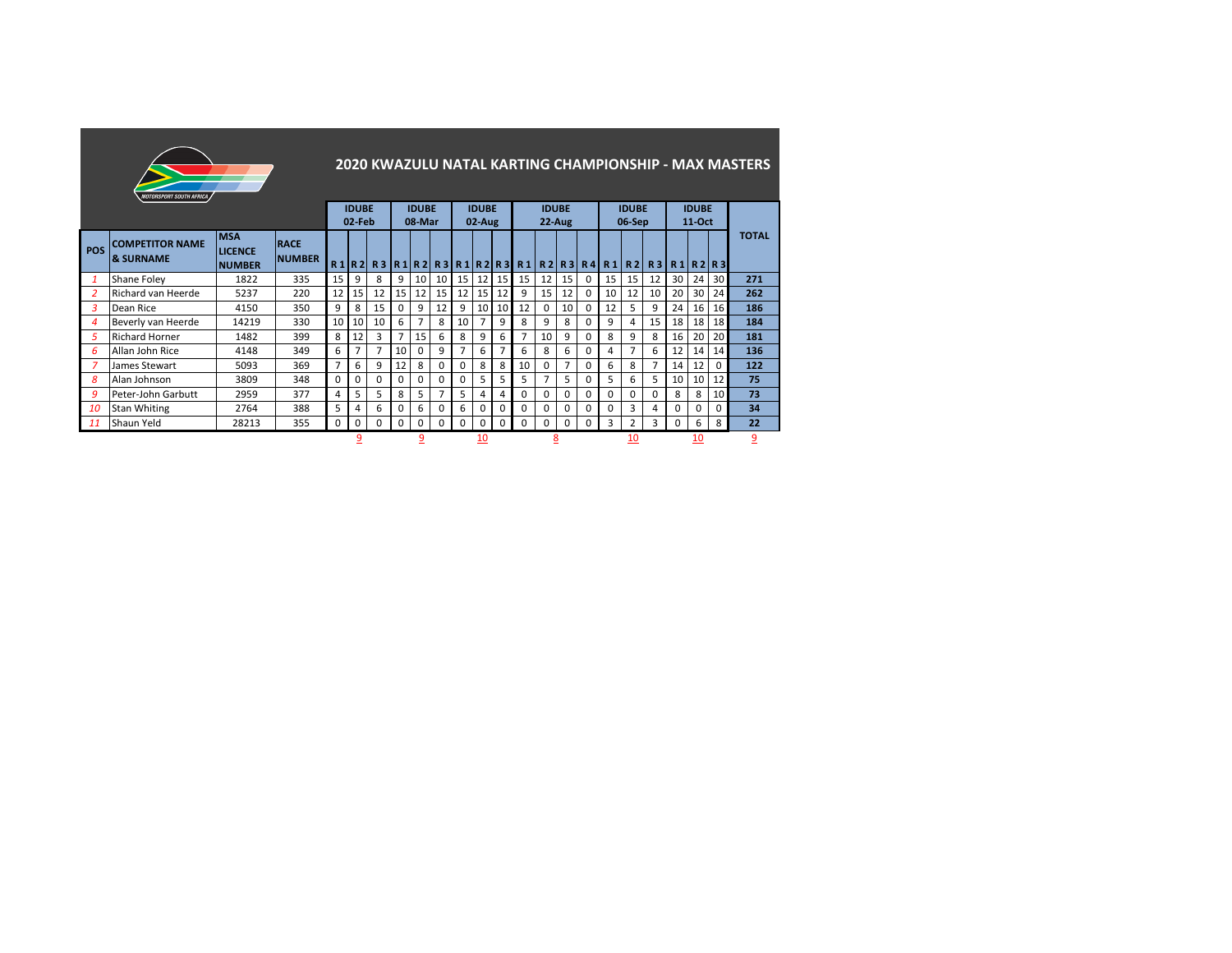|                | <i><b>MOTORSPORT SOUTH AFRICA</b></i>          |                                               |                              |                |                        |    |                |                        |                            |          |                        |                 |                |                           |    |              |          |                        |                  |    |                          |                 | 2020 KWAZULU NATAL KARTING CHAMPIONSHIP - MAX MASTERS |
|----------------|------------------------------------------------|-----------------------------------------------|------------------------------|----------------|------------------------|----|----------------|------------------------|----------------------------|----------|------------------------|-----------------|----------------|---------------------------|----|--------------|----------|------------------------|------------------|----|--------------------------|-----------------|-------------------------------------------------------|
|                |                                                |                                               |                              |                | <b>IDUBE</b><br>02-Feb |    |                | <b>IDUBE</b><br>08-Mar |                            |          | <b>IDUBE</b><br>02-Aug |                 |                | <b>IDUBE</b><br>$22-Au$ g |    |              |          | <b>IDUBF</b><br>06-Sep |                  |    | <b>IDUBE</b><br>$11-Oct$ |                 |                                                       |
| <b>POS</b>     | <b>COMPETITOR NAME</b><br><b>&amp; SURNAME</b> | <b>MSA</b><br><b>LICENCE</b><br><b>NUMBER</b> | <b>RACE</b><br><b>NUMBER</b> | R1 R2          |                        |    |                |                        | R3  R1  R2  R3  R1  R2  R3 |          |                        |                 | R1 R2 R3 R4 R1 |                           |    |              |          |                        | $R2$ R3 R1 R2 R3 |    |                          |                 | <b>TOTAL</b>                                          |
|                | Shane Foley                                    | 1822                                          | 335                          | 15             | 9                      | 8  | 9              | 10                     | 10                         | 15 I     | 12                     | 15 <sub>1</sub> | 15             | 12                        | 15 | <sup>0</sup> | 15       | 15 <sup>1</sup>        | 12               | 30 | 24                       | 30 <sub>1</sub> | 271                                                   |
| $\overline{2}$ | Richard van Heerde                             | 5237                                          | 220                          | 12             | 15                     | 12 | 15             | 12                     | 15                         | 12       | 15 <sup>1</sup>        | 12              | 9              | 15                        | 12 | 0            | 10       | 12                     | 10               | 20 | 30                       | 24              | 262                                                   |
| 3              | Dean Rice                                      | 4150                                          | 350                          | 9              | 8                      | 15 | 0              | 9                      | 12                         | 9        | 10                     | 10              | 12             | $\Omega$                  | 10 | 0            | 12       | 5.                     | 9                | 24 | 16                       | 16 <sup>1</sup> | 186                                                   |
| 4              | Beverly van Heerde                             | 14219                                         | 330                          | 10             | 10                     | 10 | 6              | 7                      | 8                          | 10       | $\overline{7}$         | 9               | 8              | 9                         | 8  | 0            | 9        | 4                      | 15               | 18 | 18                       | 18 <sup>1</sup> | 184                                                   |
| 5              | <b>Richard Horner</b>                          | 1482                                          | 399                          | 8              | 12                     | 3  | $\overline{7}$ | 15                     | 6                          | 8        | 9                      | 6               | $\overline{7}$ | 10                        | 9  | <sup>0</sup> | 8        | 9                      | 8                | 16 | 20                       | 20 <sup>1</sup> | 181                                                   |
| 6              | Allan John Rice                                | 4148                                          | 349                          | 6              | $\overline{7}$         |    | 10             | $\Omega$               | 9                          | 7        | 6                      | $\overline{7}$  | 6              | 8                         | 6  | <sup>0</sup> | 4        | 7                      | 6                | 12 | 14                       | 14              | 136                                                   |
|                | James Stewart                                  | 5093                                          | 369                          | $\overline{7}$ | 6                      | 9  | 12             | 8                      | $\Omega$                   | $\Omega$ | 8                      | 8               | 10             | $\Omega$                  | 7  | <sup>0</sup> | 6        | 8                      | 7                | 14 | 12                       | <sup>0</sup>    | 122                                                   |
| 8              | Alan Johnson                                   | 3809                                          | 348                          | $\Omega$       | 0                      | U  | 0              | $\Omega$               | $\Omega$                   | 0        | 5                      | 5               | 5              | $\overline{7}$            | 5  | <sup>0</sup> | 5        | 6                      | 5                | 10 | 10                       | 12              | 75                                                    |
| 9              | Peter-John Garbutt                             | 2959                                          | 377                          | 4              | 5                      | 5. | 8              | 5                      | 7                          | 5        | 4                      | 4               | 0              | 0                         | 0  | 0            | $\Omega$ | 0                      | $\Omega$         | 8  | 8                        | 10 <sup>1</sup> | 73                                                    |
| 10             | <b>Stan Whiting</b>                            | 2764                                          | 388                          | 5              | 4                      | 6  | 0              | 6                      | 0                          | 6        | 0                      | 0               | 0              | 0                         | 0  | <sup>0</sup> | 0        | 3                      | 4                | 0  | 0                        | 0               | 34                                                    |
| 11             | Shaun Yeld                                     | 28213                                         | 355                          | 0              | 0                      | 0  | 0              | 0                      | 0                          | 0        | 0                      | 0               | 0              | 0                         | 0  | 0            | 3        | 2                      | 3                | 0  | 6                        | 8               | 22                                                    |
|                |                                                |                                               |                              |                | q                      |    |                | 9                      |                            |          | 10<br>__               |                 |                | 8                         |    |              |          | 10                     |                  |    | 10                       |                 | 9                                                     |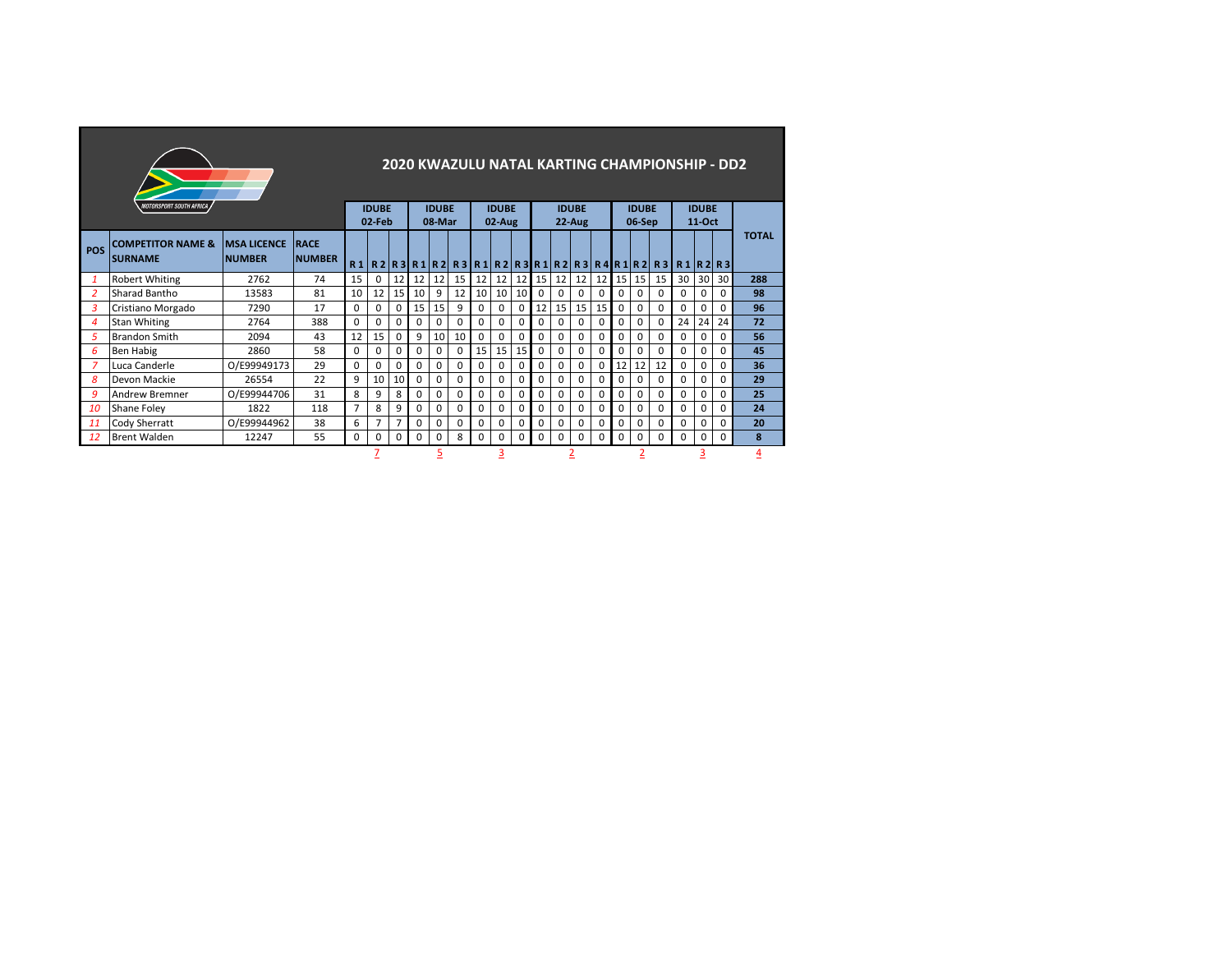|                | <i><b>MOTORSPORT SOUTH AFRICA</b></i>          |                                     |                              |          | <b>IDUBE</b> |                 |              | <b>IDUBE</b> | 2020 KWAZULU NATAL KARTING CHAMPIONSHIP - DD2                     |             | <b>IDUBE</b> |                 |          |          | <b>IDUBE</b> |    |    | <b>IDUBE</b> |          |          | <b>IDUBE</b> |          |              |
|----------------|------------------------------------------------|-------------------------------------|------------------------------|----------|--------------|-----------------|--------------|--------------|-------------------------------------------------------------------|-------------|--------------|-----------------|----------|----------|--------------|----|----|--------------|----------|----------|--------------|----------|--------------|
|                |                                                |                                     |                              |          | 02-Feb       |                 |              | 08-Mar       |                                                                   |             | $02-Au$ g    |                 |          |          | 22-Aug       |    |    | 06-Sep       |          |          | $11-Oct$     |          |              |
| <b>POS</b>     | <b>COMPETITOR NAME &amp;</b><br><b>SURNAME</b> | <b>MSA LICENCE</b><br><b>NUMBER</b> | <b>RACE</b><br><b>NUMBER</b> |          |              |                 |              |              | R1 R2 R3 R1 R2 R3 R1 R2 R3 R1 R2 R3 R4 R1 R2 R3 R1 R2 R3 R1 R2 R3 |             |              |                 |          |          |              |    |    |              |          |          |              |          | <b>TOTAL</b> |
| $\mathbf{1}$   | <b>Robert Whiting</b>                          | 2762                                | 74                           | 15       | 0            | 12              | 12           | 12           | 15                                                                | 12          | 12           | 12              |          | 15 12    | 12           | 12 | 15 | 15           | 15       | 30       | 30           | 30       | 288          |
| $\overline{2}$ | Sharad Bantho                                  | 13583                               | 81                           | 10       | 12           | 15              | 10           | 9            | 12                                                                | 10          | 10           | 10 <sup>1</sup> | 0        | 0        | 0            | 0  | 0  | 0            | $\Omega$ | $\Omega$ | $\Omega$     | 0        | 98           |
| 3              | Cristiano Morgado                              | 7290                                | 17                           | $\Omega$ | $\Omega$     | $\Omega$        | 15           | 15           | 9                                                                 | $\mathbf 0$ | $\mathbf 0$  | 0               | 12       | 15       | 15           | 15 | 0  | 0            | $\Omega$ | $\Omega$ | $\Omega$     | $\Omega$ | 96           |
| 4              | <b>Stan Whiting</b>                            | 2764                                | 388                          | $\Omega$ | <sup>0</sup> | $\Omega$        | <sup>0</sup> | <sup>0</sup> | $\Omega$                                                          | $\Omega$    | $\Omega$     | <sup>0</sup>    | $\Omega$ | $\Omega$ | <sup>0</sup> | 0  | 0  | $\Omega$     | $\Omega$ | 24       | 24           | 24       | 72           |
| 5              | <b>Brandon Smith</b>                           | 2094                                | 43                           | 12       | 15           | $\Omega$        | 9            | 10           | 10                                                                | $\mathbf 0$ | 0            | $\Omega$        | $\Omega$ | 0        | 0            | 0  | 0  | 0            | 0        | $\Omega$ | $\Omega$     | $\Omega$ | 56           |
| 6              | <b>Ben Habig</b>                               | 2860                                | 58                           | $\Omega$ | 0            | $\Omega$        | 0            | 0            | 0                                                                 | 15          | 15           | 15              | 0        | 0        | 0            | 0  | 0  | 0            | $\Omega$ | 0        | 0            | 0        | 45           |
| 7              | Luca Canderle                                  | O/E99949173                         | 29                           | $\Omega$ | $\Omega$     | $\Omega$        | <sup>0</sup> | $\Omega$     | 0                                                                 | $\Omega$    | $\Omega$     | $\Omega$        | $\Omega$ | $\Omega$ | $\Omega$     | 0  | 12 | 12           | 12       | $\Omega$ | $\Omega$     | $\Omega$ | 36           |
| 8              | Devon Mackie                                   | 26554                               | 22                           | 9        | 10           | 10 <sup>1</sup> | 0            | 0            | 0                                                                 | $\Omega$    | $\Omega$     | 0               | $\Omega$ | $\Omega$ | 0            | 0  | 0  | $\Omega$     | $\Omega$ | $\Omega$ | $\Omega$     | $\Omega$ | 29           |
| 9              | <b>Andrew Bremner</b>                          | O/E99944706                         | 31                           | 8        | 9            | 8               | <sup>0</sup> | 0            | 0                                                                 | $\mathbf 0$ | 0            | 0               | 0        | $\Omega$ | 0            | 0  | 0  | 0            | 0        | $\Omega$ | $\Omega$     | 0        | 25           |
| 10             | Shane Foley                                    | 1822                                | 118                          | 7        | 8            | 9               | 0            | 0            | 0                                                                 | 0           | 0            | 0               | $\Omega$ | $\Omega$ | 0            | 0  | 0  | 0            | $\Omega$ | $\Omega$ | 0            | $\Omega$ | 24           |
| 11             | Cody Sherratt                                  | O/E99944962                         | 38                           | 6        |              | 7               | 0            | 0            | 0                                                                 | $\mathbf 0$ | $\mathbf 0$  | 0               | 0        | 0        | 0            | 0  | 0  | 0            | 0        | $\Omega$ | $\mathbf 0$  | $\Omega$ | 20           |
| 12             | <b>Brent Walden</b>                            | 12247                               | 55                           | 0        | $\Omega$     | $\Omega$        | 0            | <sup>0</sup> | 8                                                                 | 0           | 0            | 0               | 0        | $\Omega$ | <sup>0</sup> | 0  | 0  | $\Omega$     | $\Omega$ | $\Omega$ | $\Omega$     | $\Omega$ | 8            |
|                |                                                |                                     |                              |          |              |                 |              |              |                                                                   | 3           |              |                 |          |          |              |    |    |              |          |          |              | 4        |              |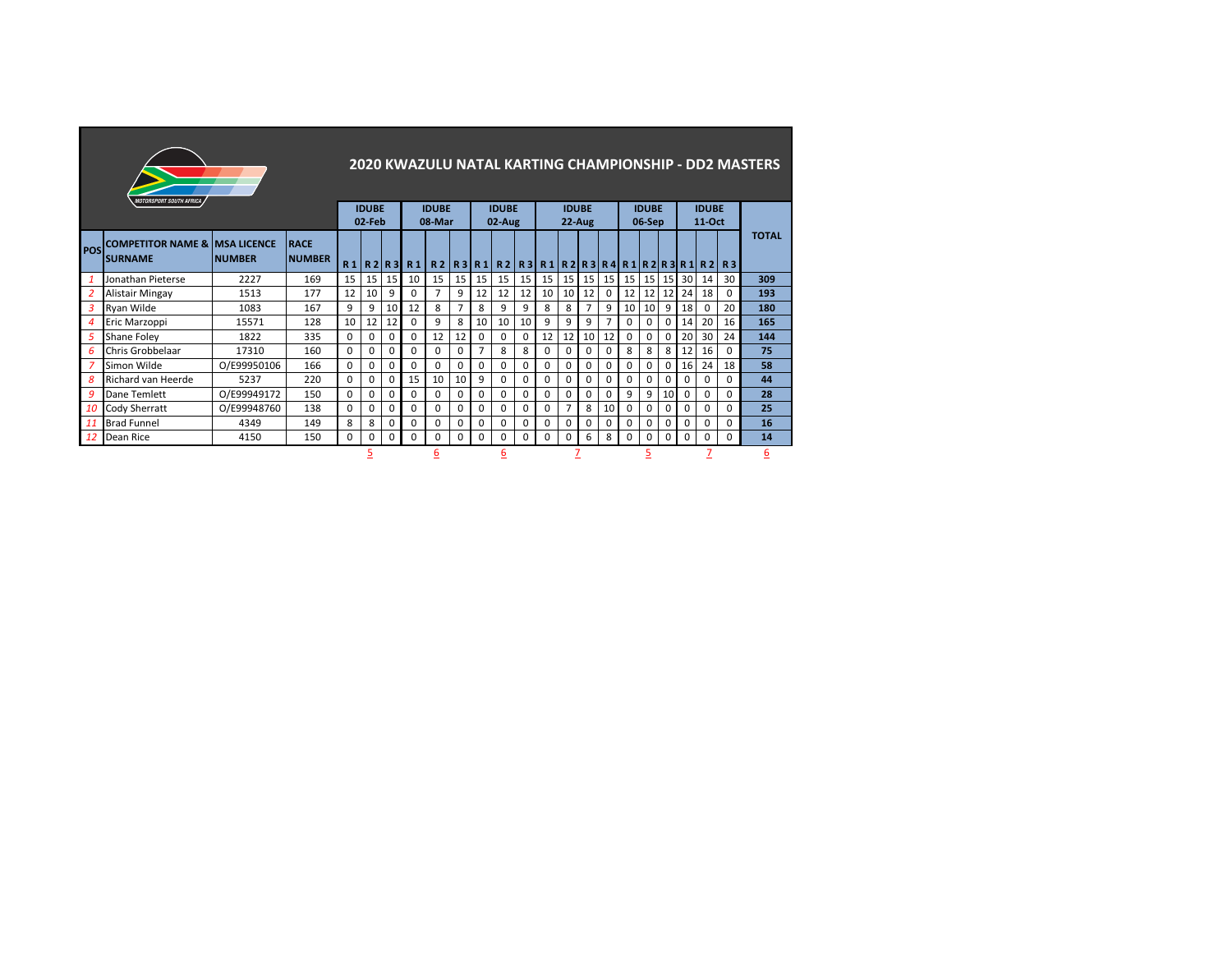|                | <i><b>MOTORSPORT SOUTH AFRICA</b></i>                       |               |                              |          |                        |              |               |                        |                 |                |                        |                 |          |                          |                |                 |          |                        |          |          |                          |                                        | 2020 KWAZULU NATAL KARTING CHAMPIONSHIP - DD2 MASTERS |
|----------------|-------------------------------------------------------------|---------------|------------------------------|----------|------------------------|--------------|---------------|------------------------|-----------------|----------------|------------------------|-----------------|----------|--------------------------|----------------|-----------------|----------|------------------------|----------|----------|--------------------------|----------------------------------------|-------------------------------------------------------|
|                |                                                             |               |                              |          | <b>IDUBE</b><br>02-Feb |              |               | <b>IDUBE</b><br>08-Mar |                 |                | <b>IDUBE</b><br>02-Aug |                 |          | <b>IDUBE</b><br>$22-Aug$ |                |                 |          | <b>IDUBE</b><br>06-Sep |          |          | <b>IDUBE</b><br>$11-Oct$ |                                        |                                                       |
| POS            | <b>COMPETITOR NAME &amp; IMSA LICENCE</b><br><b>SURNAME</b> | <b>NUMBER</b> | <b>RACE</b><br><b>NUMBER</b> |          |                        |              | $R1$ R2 R3 R1 |                        |                 | R2   R3   R1   |                        |                 |          |                          |                |                 |          |                        |          |          |                          | $R2$  R3 R1 R2 R3 R4 R1 R2 R3 R1 R2 R3 | <b>TOTAL</b>                                          |
| $\mathbf{1}$   | Jonathan Pieterse                                           | 2227          | 169                          | 15       | 15                     | 15           | 10            | 15                     | 15 <sup>1</sup> | 15             | 15                     | 15 <sup>1</sup> | 15       | 15                       | 15             | 15 <sup>1</sup> | 15       | 15                     | 15       | 30       | 14                       | 30 <sup>1</sup>                        | 309                                                   |
| $\overline{2}$ | Alistair Mingay                                             | 1513          | 177                          | 12       | 10                     | q            | 0             | $\overline{7}$         | 9               | 12             | 12                     | 12              | 10       | 10                       | 12             | 0               | 12       | 12                     | 12       | 24       | 18                       | 0                                      | 193                                                   |
| $\overline{3}$ | Ryan Wilde                                                  | 1083          | 167                          | 9        | 9                      | 10           | 12            | 8                      | $\overline{7}$  | 8              | 9                      | 9               | 8        | 8                        | $\overline{7}$ | 9               | 10       | 10                     | 9        | 18       | $\Omega$                 | 20                                     | 180                                                   |
| $\overline{4}$ | Eric Marzoppi                                               | 15571         | 128                          | 10       | 12                     | 12           | 0             | 9                      | 8               | 10             | 10                     | 10              | 9        | 9                        | 9              | 7               | 0        | 0                      | 0        | 14       | 20                       | 16                                     | 165                                                   |
| 5              | Shane Foley                                                 | 1822          | 335                          | $\Omega$ | $\Omega$               | $\Omega$     | 0             | 12                     | 12              | 0              | $\Omega$               | $\Omega$        | 12       | 12                       | 10             | 12              | $\Omega$ | $\Omega$               | $\Omega$ | 20       | 30                       | 24                                     | 144                                                   |
| 6              | Chris Grobbelaar                                            | 17310         | 160                          | $\Omega$ | 0                      | 0            | 0             | 0                      | 0               | $\overline{7}$ | 8                      | 8               | 0        | 0                        | $\mathbf 0$    | 0               | 8        | 8                      | 8        | 12       | 16                       | <sup>0</sup>                           | 75                                                    |
| 7              | Simon Wilde                                                 | O/E99950106   | 166                          | 0        | 0                      | $\Omega$     | 0             | $\Omega$               | O               | 0              | $\Omega$               | 0               | 0        | $\Omega$                 | $\mathbf 0$    | $\Omega$        | $\Omega$ | 0                      | $\Omega$ | 16       | 24                       | 18                                     | 58                                                    |
| 8              | Richard van Heerde                                          | 5237          | 220                          | 0        | 0                      | $\Omega$     | 15            | 10                     | 10              | 9              | 0                      | 0               | 0        | 0                        | $\mathbf 0$    | 0               | 0        | 0                      | 0        | 0        | 0                        | 0                                      | 44                                                    |
| 9              | Dane Temlett                                                | O/E99949172   | 150                          | $\Omega$ | 0                      | $\Omega$     | $\Omega$      | $\Omega$               | 0               | 0              | $\Omega$               | $\Omega$        | $\Omega$ | $\Omega$                 | $\Omega$       | $\Omega$        | 9        | 9                      | 10       | $\Omega$ | $\Omega$                 | $\Omega$                               | 28                                                    |
| 10             | Cody Sherratt                                               | O/E99948760   | 138                          | $\Omega$ | $\Omega$               | $\Omega$     | 0             | $\Omega$               | $\Omega$        | $\Omega$       | 0                      | $\Omega$        | 0        | $\overline{7}$           | 8              | 10              | $\Omega$ | O                      | ŋ        | $\Omega$ | $\Omega$                 | 0                                      | 25                                                    |
| 11             | <b>Brad Funnel</b>                                          | 4349          | 149                          | 8        | 8                      | <sup>0</sup> | 0             | $\Omega$               | 0               | 0              | 0                      | $\Omega$        | $\Omega$ | $\Omega$                 | $\Omega$       | $\Omega$        | $\Omega$ | 0                      | 0        | $\Omega$ | $\Omega$                 | 0                                      | 16                                                    |
| 12             | Dean Rice                                                   | 4150          | 150                          | 0        | 0                      | $\Omega$     | $\Omega$      | 0                      | 0               | $\Omega$       | 0                      | $\Omega$        | $\Omega$ | 0                        | 6              | 8               | 0        | 0                      | 0        | 0        | 0                        | $\Omega$                               | 14                                                    |
|                |                                                             |               |                              |          | 5                      |              |               | <u>6</u>               |                 |                | <u>6</u>               |                 |          |                          |                |                 |          |                        |          |          |                          |                                        | <u>6</u>                                              |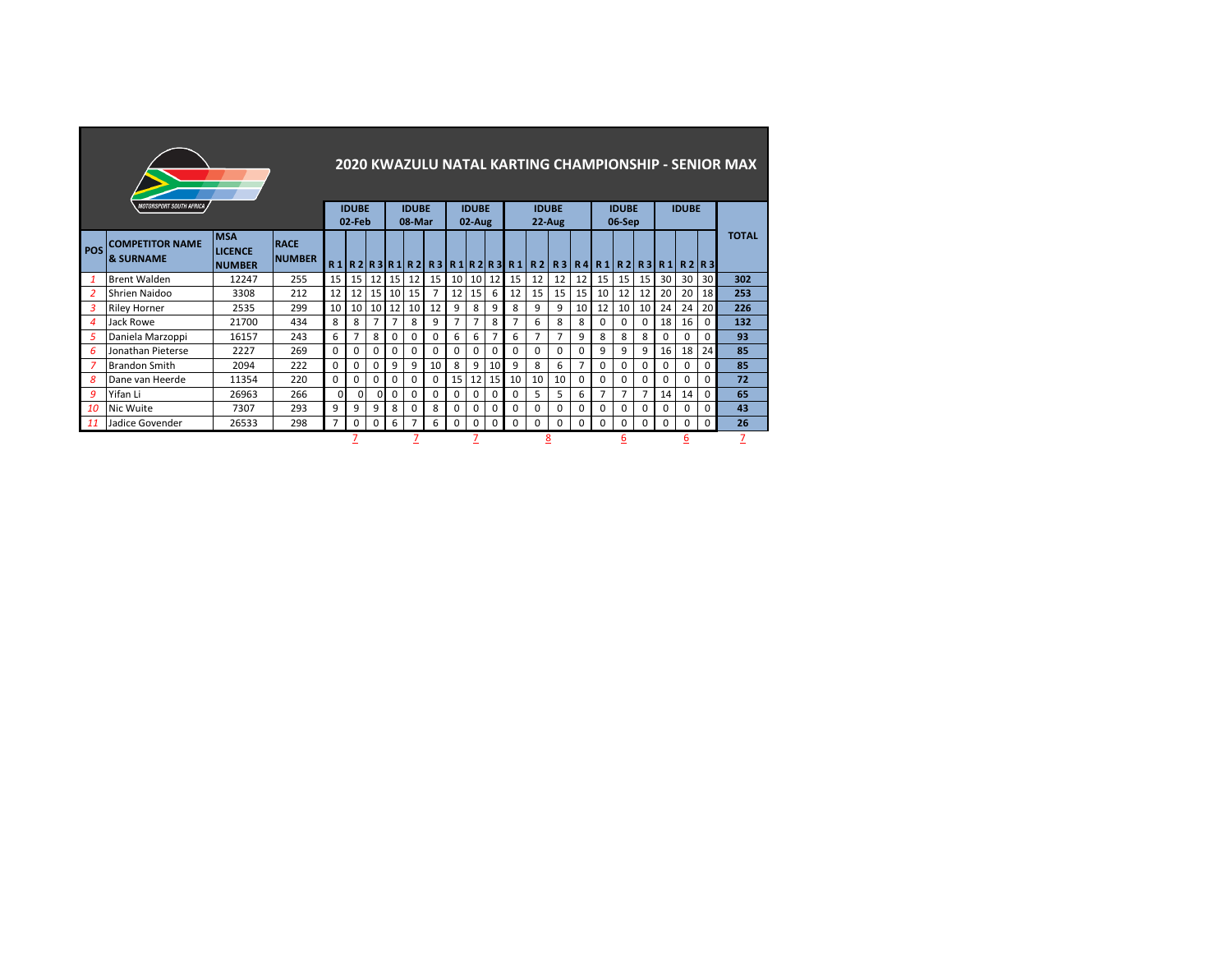|                |                                                |                                               |                              |                |                        |                 |                 |                        |          |                |                        |              |              |                                     |          |          |                             |                        |                 |              |              |                 | 2020 KWAZULU NATAL KARTING CHAMPIONSHIP - SENIOR MAX |
|----------------|------------------------------------------------|-----------------------------------------------|------------------------------|----------------|------------------------|-----------------|-----------------|------------------------|----------|----------------|------------------------|--------------|--------------|-------------------------------------|----------|----------|-----------------------------|------------------------|-----------------|--------------|--------------|-----------------|------------------------------------------------------|
|                | MOTORSPORT SOUTH AFRICA                        |                                               |                              |                | <b>IDUBE</b><br>02-Feb |                 |                 | <b>IDUBE</b><br>08-Mar |          |                | <b>IDUBE</b><br>02-Aug |              |              | <b>IDUBE</b><br>$22-Aug$            |          |          |                             | <b>IDUBE</b><br>06-Sep |                 |              | <b>IDUBE</b> |                 |                                                      |
| <b>POS</b>     | <b>COMPETITOR NAME</b><br><b>&amp; SURNAME</b> | <b>MSA</b><br><b>LICENCE</b><br><b>NUMBER</b> | <b>RACE</b><br><b>NUMBER</b> |                |                        |                 |                 |                        |          |                |                        |              |              | $R1$  R2 R3 R1 R2 R3 R1 R2 R3 R1 R2 |          |          | R3   R4   R1   R2   R3   R1 |                        |                 |              |              | R2R3            | <b>TOTAL</b>                                         |
| $\mathbf{1}$   | <b>Brent Walden</b>                            | 12247                                         | 255                          | 15             | 15                     | 12              | 15 <sub>1</sub> | 12                     | 15       | 10             | 10                     | 12           | 15           | 12                                  | 12       | 12       | 15                          | 15                     | 15 <sub>1</sub> | 30           | 30           | 30 <sup>1</sup> | 302                                                  |
| 2              | <b>Shrien Naidoo</b>                           | 3308                                          | 212                          | 12             | 12                     | 15 <sup>1</sup> | 10 <sup>1</sup> | 15                     | 7        | 12             | 15                     | 6            | 12           | 15                                  | 15       | 15       | 10                          | 12                     | 12              | 20           | 20           | 18              | 253                                                  |
| 3              | <b>Riley Horner</b>                            | 2535                                          | 299                          | 10             | 10                     | 10 <sup>1</sup> | 12              | 10                     | 12       | 9              | 8                      | q            | 8            | 9                                   | 9        | 10       | 12                          | 10                     | 10 <sup>1</sup> | 24           | 24           | <b>20</b>       | 226                                                  |
| $\overline{4}$ | Jack Rowe                                      | 21700                                         | 434                          | $\mathbf{R}$   | 8                      |                 | $\overline{7}$  | 8                      | 9        | $\overline{7}$ | 7                      | 8            |              | 6                                   | 8        | 8        | $\Omega$                    | $\Omega$               |                 | 18           | 16           | $\Omega$        | 132                                                  |
| 5              | Daniela Marzoppi                               | 16157                                         | 243                          | 6              |                        | 8               | 0               | 0                      | $\Omega$ | 6              | 6                      |              | 6            | 7                                   | 7        | 9        | 8                           | 8                      | 8               | <sup>0</sup> | $\Omega$     | $\Omega$        | 93                                                   |
| 6              | Jonathan Pieterse                              | 2227                                          | 269                          | $\Omega$       | 0                      | ŋ               | 0               | $\Omega$               | 0        | 0              | 0                      | 0            | 0            | 0                                   | $\Omega$ | 0        | 9                           | 9                      | 9               | 16           | 18           | 24              | 85                                                   |
| 7              | <b>Brandon Smith</b>                           | 2094                                          | 222                          | $\Omega$       | 0                      | U               | 9               | 9                      | 10       | 8              | 9                      | 10           | 9            | 8                                   | 6        | 7        | $\Omega$                    | $\Omega$               | <sup>0</sup>    | 0            | 0            | 0               | 85                                                   |
| 8              | Dane van Heerde                                | 11354                                         | 220                          | $\Omega$       | $\Omega$               |                 | 0               | $\Omega$               | $\Omega$ | 15             | 12                     | 15           | 10           | 10                                  | 10       | $\Omega$ | $\Omega$                    | $\Omega$               |                 | 0            | $\Omega$     | $\Omega$        | 72                                                   |
| 9              | Yifan Li                                       | 26963                                         | 266                          | 0              | $\Omega$               |                 | $\Omega$        | <sup>0</sup>           | 0        | $\Omega$       | 0                      | <sup>0</sup> | <sup>0</sup> | 5                                   | 5        | 6        | 7                           | 7                      |                 | 14           | 14           | $\Omega$        | 65                                                   |
| 10             | <b>Nic Wuite</b>                               | 7307                                          | 293                          | 9              | 9                      | 9               | 8               | 0                      | 8        | $\Omega$       | 0                      | 0            | <sup>0</sup> | $\Omega$                            | 0        | 0        | $\Omega$                    | 0                      |                 | 0            | $\Omega$     | $\Omega$        | 43                                                   |
| <sup>11</sup>  | Jadice Govender                                | 26533                                         | 298                          | $\overline{7}$ | 0                      | 0               | 6               | 7                      | 6        | 0              | 0                      | 0            | $\Omega$     | $\Omega$                            | $\Omega$ | $\Omega$ | 0                           | 0                      | <sup>0</sup>    | $\Omega$     | 0            | $\Omega$        | 26                                                   |
|                |                                                |                                               |                              |                |                        |                 |                 |                        |          |                |                        |              |              |                                     | 8        |          |                             | 6                      |                 |              | h            |                 |                                                      |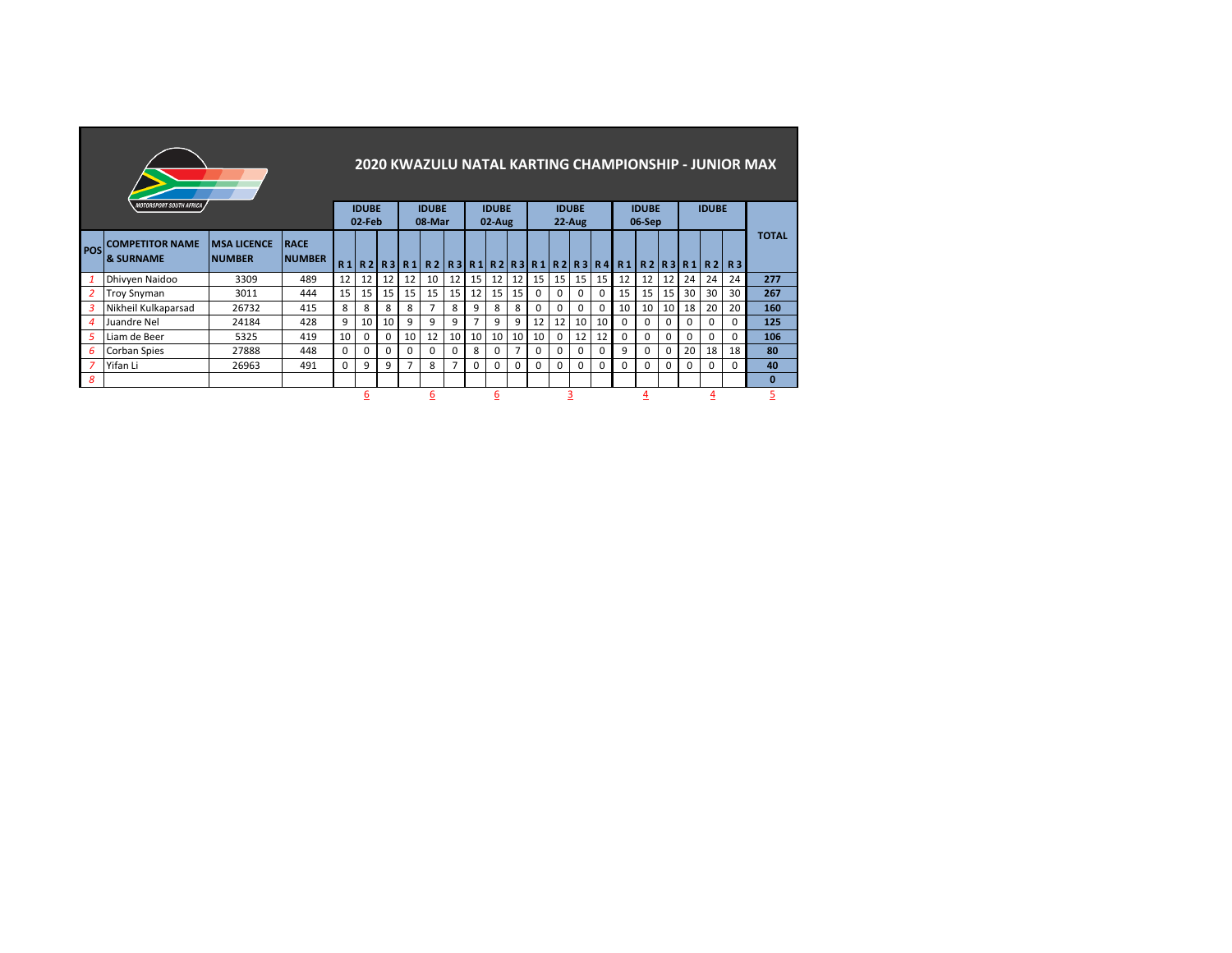|                  |                                                |                                     |                              |    |                        |              |          |                        |                |    |                           |                |          |              |                          |          |                                    |                        |    |          |              |          | 2020 KWAZULU NATAL KARTING CHAMPIONSHIP - JUNIOR MAX |
|------------------|------------------------------------------------|-------------------------------------|------------------------------|----|------------------------|--------------|----------|------------------------|----------------|----|---------------------------|----------------|----------|--------------|--------------------------|----------|------------------------------------|------------------------|----|----------|--------------|----------|------------------------------------------------------|
|                  | <b>MOTORSPORT SOUTH AFRICA</b>                 |                                     |                              |    | <b>IDUBE</b><br>02-Feb |              |          | <b>IDUBE</b><br>08-Mar |                |    | <b>IDUBE</b><br>$02-Au$ g |                |          |              | <b>IDUBE</b><br>$22-Aug$ |          |                                    | <b>IDUBE</b><br>06-Sep |    |          | <b>IDUBE</b> |          |                                                      |
| <b>POS</b>       | <b>COMPETITOR NAME</b><br><b>&amp; SURNAME</b> | <b>MSA LICENCE</b><br><b>NUMBER</b> | <b>RACE</b><br><b>NUMBER</b> | R1 | R2                     |              |          |                        |                |    |                           |                |          |              |                          |          | R3R1R2R3R1R2R3R1R2R3R4R4R1R2R3R1R2 |                        |    |          |              | R3       | <b>TOTAL</b>                                         |
| 1                | Dhivyen Naidoo                                 | 3309                                | 489                          | 12 | 12                     | 12           | 12       | 10                     | 12             | 15 | 12                        | 12             | 15       | 15           | 15                       | 15       | 12                                 | 12                     | 12 | 24       | 24           | 24       | 277                                                  |
| 2                | <b>Troy Snyman</b>                             | 3011                                | 444                          | 15 | 15                     | 15           | 15       | 15                     | 15             | 12 | 15                        | 15             | $\Omega$ |              | 0                        | $\Omega$ | 15                                 | 15                     | 15 | 30       | 30           | 30       | 267                                                  |
| 3                | Nikheil Kulkaparsad                            | 26732                               | 415                          | 8  | 8                      | 8            | 8        | $\overline{7}$         | 8              | 9  | 8                         | 8              | 0        | <sup>0</sup> | $\Omega$                 | $\Omega$ | 10                                 | 10                     | 10 | 18       | 20           | 20       | 160                                                  |
| $\boldsymbol{4}$ | Juandre Nel                                    | 24184                               | 428                          | 9  | 10                     | 10           | 9        | 9                      | 9              | 7  | 9                         | 9              | 12       | 12           | 10                       | 10       | $\Omega$                           | 0                      | 0  | $\Omega$ | $\Omega$     | $\Omega$ | 125                                                  |
| 5                | Liam de Beer                                   | 5325                                | 419                          | 10 | 0                      | 0            | 10       | 12                     | 10             | 10 | 10                        | 10             | 10       | $\Omega$     | 12                       | 12       | 0                                  | 0                      | 0  | $\Omega$ | $\Omega$     | $\Omega$ | 106                                                  |
| 6                | <b>Corban Spies</b>                            | 27888                               | 448                          | 0  | 0                      | <sup>0</sup> | $\Omega$ | $\Omega$               | 0              | 8  | 0                         | $\overline{7}$ | $\Omega$ | $\Omega$     | 0                        | $\Omega$ | 9                                  | 0                      | 0  | 20       | 18           | 18       | 80                                                   |
| 7                | Yifan Li                                       | 26963                               | 491                          | 0  | 9                      | 9            | 7        | 8                      | $\overline{7}$ | 0  | $\Omega$                  | 0              | $\Omega$ | 0            | $\Omega$                 | $\Omega$ | 0                                  | 0                      | 0  | 0        | 0            | 0        | 40                                                   |
| 8                |                                                |                                     |                              |    |                        |              |          |                        |                |    |                           |                |          |              |                          |          |                                    |                        |    |          |              |          | $\bf{0}$                                             |
|                  |                                                |                                     |                              |    | <u>6</u>               |              |          | <u>6</u>               |                |    | 6                         |                |          |              |                          |          |                                    | 4                      |    |          |              |          | 5                                                    |